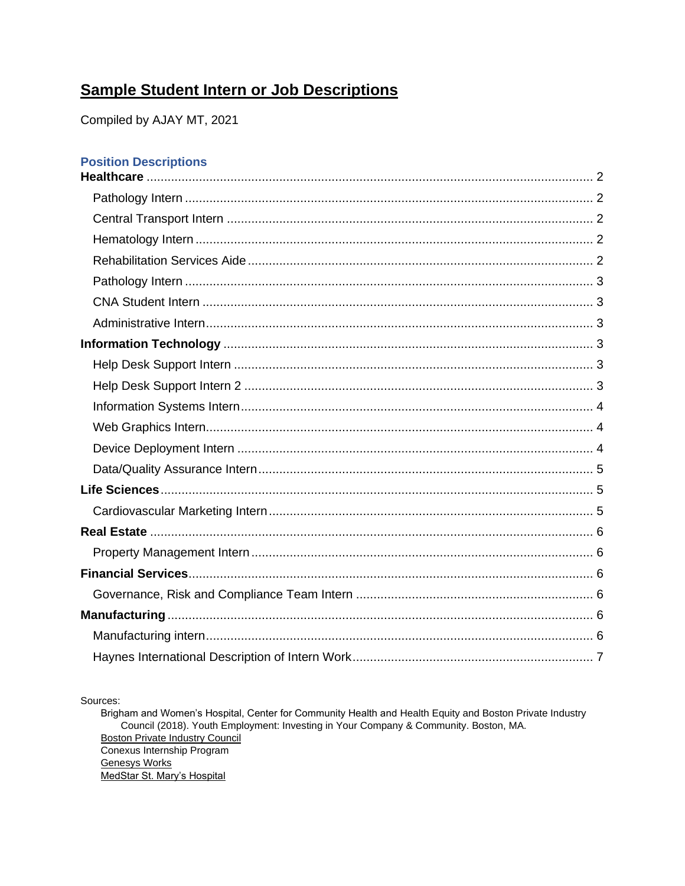# **Sample Student Intern or Job Descriptions**

Compiled by AJAY MT, 2021

## **Position Descriptions**

Sources:

Brigham and Women's Hospital, Center for Community Health and Health Equity and Boston Private Industry Council (2018). Youth Employment: Investing in Your Company & Community. Boston, MA. **Boston Private Industry Council** Conexus Internship Program **Genesys Works** MedStar St. Mary's Hospital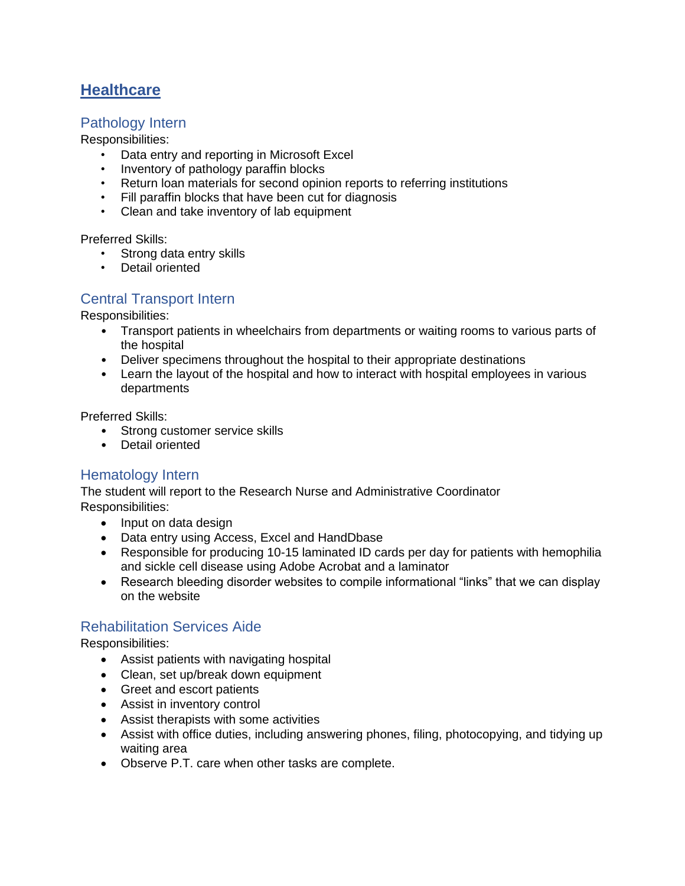# <span id="page-1-0"></span>**Healthcare**

### <span id="page-1-1"></span>Pathology Intern

Responsibilities:

- Data entry and reporting in Microsoft Excel
- Inventory of pathology paraffin blocks
- Return loan materials for second opinion reports to referring institutions
- Fill paraffin blocks that have been cut for diagnosis
- Clean and take inventory of lab equipment

Preferred Skills:

- Strong data entry skills
- Detail oriented

## <span id="page-1-2"></span>Central Transport Intern

Responsibilities:

- Transport patients in wheelchairs from departments or waiting rooms to various parts of the hospital
- Deliver specimens throughout the hospital to their appropriate destinations
- Learn the layout of the hospital and how to interact with hospital employees in various departments

Preferred Skills:

- Strong customer service skills
- Detail oriented

## <span id="page-1-3"></span>Hematology Intern

The student will report to the Research Nurse and Administrative Coordinator Responsibilities:

- Input on data design
- Data entry using Access, Excel and HandDbase
- Responsible for producing 10-15 laminated ID cards per day for patients with hemophilia and sickle cell disease using Adobe Acrobat and a laminator
- Research bleeding disorder websites to compile informational "links" that we can display on the website

### <span id="page-1-4"></span>Rehabilitation Services Aide

Responsibilities:

- Assist patients with navigating hospital
- Clean, set up/break down equipment
- Greet and escort patients
- Assist in inventory control
- Assist therapists with some activities
- Assist with office duties, including answering phones, filing, photocopying, and tidying up waiting area
- Observe P.T. care when other tasks are complete.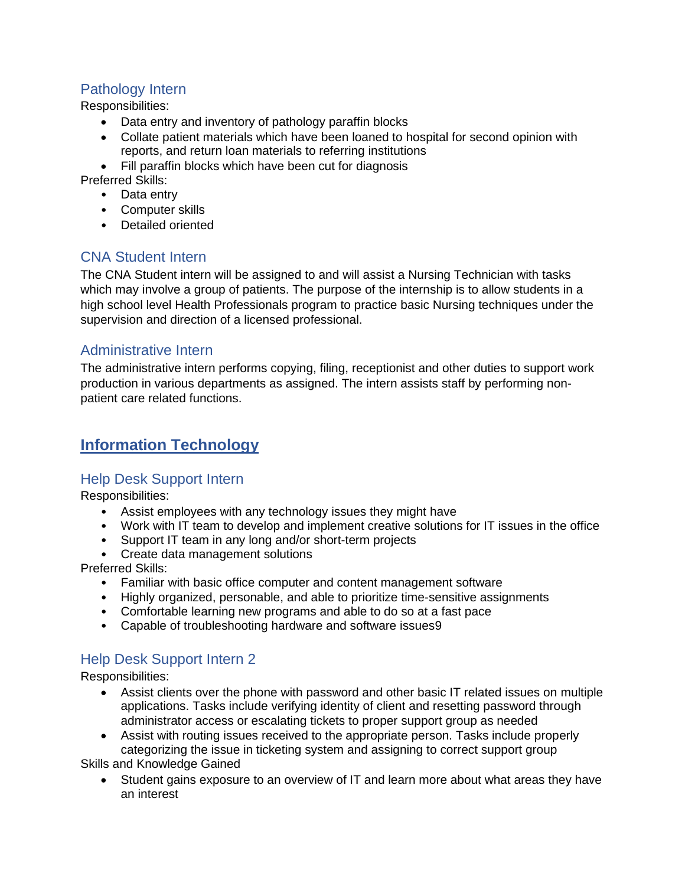## <span id="page-2-0"></span>Pathology Intern

Responsibilities:

- Data entry and inventory of pathology paraffin blocks
- Collate patient materials which have been loaned to hospital for second opinion with reports, and return loan materials to referring institutions
- Fill paraffin blocks which have been cut for diagnosis

Preferred Skills:

- Data entry
- Computer skills
- Detailed oriented

## <span id="page-2-1"></span>CNA Student Intern

The CNA Student intern will be assigned to and will assist a Nursing Technician with tasks which may involve a group of patients. The purpose of the internship is to allow students in a high school level Health Professionals program to practice basic Nursing techniques under the supervision and direction of a licensed professional.

## <span id="page-2-2"></span>Administrative Intern

The administrative intern performs copying, filing, receptionist and other duties to support work production in various departments as assigned. The intern assists staff by performing nonpatient care related functions.

# <span id="page-2-3"></span>**Information Technology**

## <span id="page-2-4"></span>Help Desk Support Intern

Responsibilities:

- Assist employees with any technology issues they might have
- Work with IT team to develop and implement creative solutions for IT issues in the office
- Support IT team in any long and/or short-term projects
- Create data management solutions

Preferred Skills:

- Familiar with basic office computer and content management software
- Highly organized, personable, and able to prioritize time-sensitive assignments
- Comfortable learning new programs and able to do so at a fast pace
- Capable of troubleshooting hardware and software issues9

## <span id="page-2-5"></span>Help Desk Support Intern 2

Responsibilities:

- Assist clients over the phone with password and other basic IT related issues on multiple applications. Tasks include verifying identity of client and resetting password through administrator access or escalating tickets to proper support group as needed
- Assist with routing issues received to the appropriate person. Tasks include properly categorizing the issue in ticketing system and assigning to correct support group

Skills and Knowledge Gained

• Student gains exposure to an overview of IT and learn more about what areas they have an interest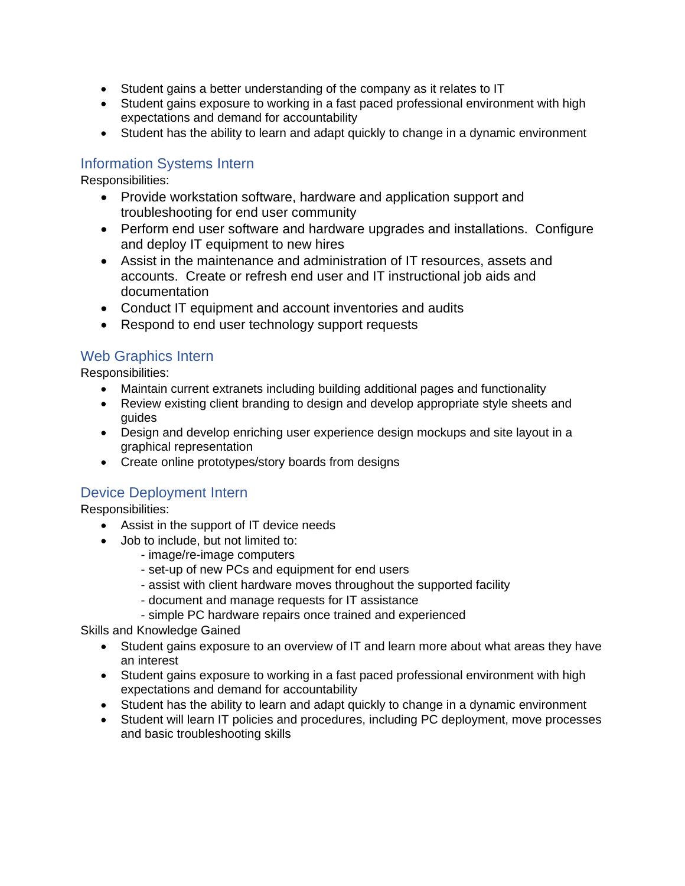- Student gains a better understanding of the company as it relates to IT
- Student gains exposure to working in a fast paced professional environment with high expectations and demand for accountability
- Student has the ability to learn and adapt quickly to change in a dynamic environment

### <span id="page-3-0"></span>Information Systems Intern

Responsibilities:

- Provide workstation software, hardware and application support and troubleshooting for end user community
- Perform end user software and hardware upgrades and installations. Configure and deploy IT equipment to new hires
- Assist in the maintenance and administration of IT resources, assets and accounts. Create or refresh end user and IT instructional job aids and documentation
- Conduct IT equipment and account inventories and audits
- Respond to end user technology support requests

## <span id="page-3-1"></span>Web Graphics Intern

Responsibilities:

- Maintain current extranets including building additional pages and functionality
- Review existing client branding to design and develop appropriate style sheets and guides
- Design and develop enriching user experience design mockups and site layout in a graphical representation
- Create online prototypes/story boards from designs

## <span id="page-3-2"></span>Device Deployment Intern

Responsibilities:

- Assist in the support of IT device needs
- Job to include, but not limited to:
	- image/re-image computers
	- set-up of new PCs and equipment for end users
	- assist with client hardware moves throughout the supported facility
	- document and manage requests for IT assistance
	- simple PC hardware repairs once trained and experienced

Skills and Knowledge Gained

- Student gains exposure to an overview of IT and learn more about what areas they have an interest
- Student gains exposure to working in a fast paced professional environment with high expectations and demand for accountability
- Student has the ability to learn and adapt quickly to change in a dynamic environment
- Student will learn IT policies and procedures, including PC deployment, move processes and basic troubleshooting skills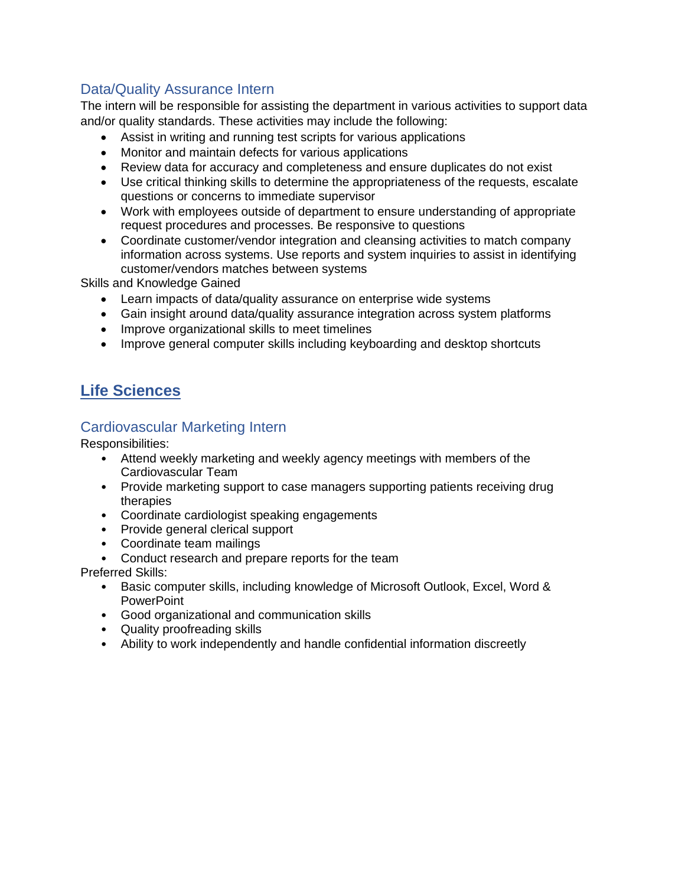## <span id="page-4-0"></span>Data/Quality Assurance Intern

The intern will be responsible for assisting the department in various activities to support data and/or quality standards. These activities may include the following:

- Assist in writing and running test scripts for various applications
- Monitor and maintain defects for various applications
- Review data for accuracy and completeness and ensure duplicates do not exist
- Use critical thinking skills to determine the appropriateness of the requests, escalate questions or concerns to immediate supervisor
- Work with employees outside of department to ensure understanding of appropriate request procedures and processes. Be responsive to questions
- Coordinate customer/vendor integration and cleansing activities to match company information across systems. Use reports and system inquiries to assist in identifying customer/vendors matches between systems

Skills and Knowledge Gained

- Learn impacts of data/quality assurance on enterprise wide systems
- Gain insight around data/quality assurance integration across system platforms
- Improve organizational skills to meet timelines
- Improve general computer skills including keyboarding and desktop shortcuts

# <span id="page-4-1"></span>**Life Sciences**

## <span id="page-4-2"></span>Cardiovascular Marketing Intern

Responsibilities:

- Attend weekly marketing and weekly agency meetings with members of the Cardiovascular Team
- Provide marketing support to case managers supporting patients receiving drug therapies
- Coordinate cardiologist speaking engagements
- Provide general clerical support
- Coordinate team mailings
- Conduct research and prepare reports for the team

Preferred Skills:

- Basic computer skills, including knowledge of Microsoft Outlook, Excel, Word & **PowerPoint**
- Good organizational and communication skills
- Quality proofreading skills
- Ability to work independently and handle confidential information discreetly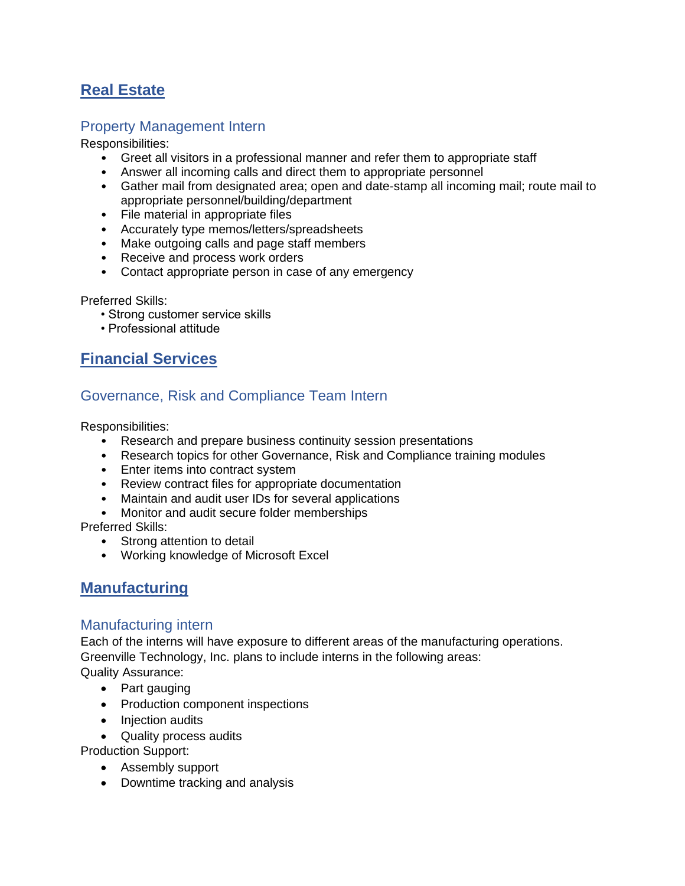# <span id="page-5-0"></span>**Real Estate**

### <span id="page-5-1"></span>Property Management Intern

#### Responsibilities:

- Greet all visitors in a professional manner and refer them to appropriate staff
- Answer all incoming calls and direct them to appropriate personnel
- Gather mail from designated area; open and date-stamp all incoming mail; route mail to appropriate personnel/building/department
- File material in appropriate files
- Accurately type memos/letters/spreadsheets
- Make outgoing calls and page staff members
- Receive and process work orders
- Contact appropriate person in case of any emergency

Preferred Skills:

- Strong customer service skills
- Professional attitude

# <span id="page-5-2"></span>**Financial Services**

## <span id="page-5-3"></span>Governance, Risk and Compliance Team Intern

Responsibilities:

- Research and prepare business continuity session presentations
- Research topics for other Governance, Risk and Compliance training modules
- Enter items into contract system
- Review contract files for appropriate documentation
- Maintain and audit user IDs for several applications
- Monitor and audit secure folder memberships

Preferred Skills:

- Strong attention to detail
- Working knowledge of Microsoft Excel

## <span id="page-5-4"></span>**Manufacturing**

### <span id="page-5-5"></span>Manufacturing intern

Each of the interns will have exposure to different areas of the manufacturing operations. Greenville Technology, Inc. plans to include interns in the following areas: Quality Assurance:

- Part gauging
- Production component inspections
- Injection audits
- Quality process audits

Production Support:

- Assembly support
- Downtime tracking and analysis